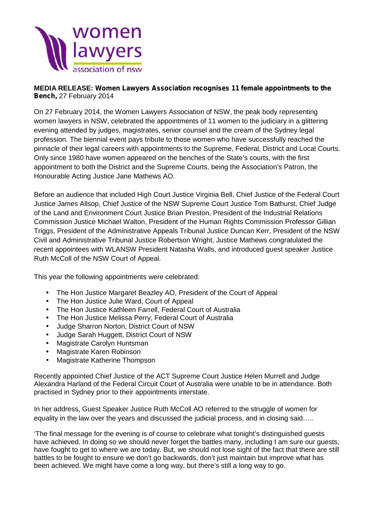

## **MEDIA RELEASE:** *Women Lawyers Association recognises 11 female appointments to the Bench,* 27 February 2014

On 27 February 2014, the Women Lawyers Association of NSW, the peak body representing women lawyers in NSW, celebrated the appointments of 11 women to the judiciary in a glittering evening attended by judges, magistrates, senior counsel and the cream of the Sydney legal profession. The biennial event pays tribute to those women who have successfully reached the pinnacle of their legal careers with appointments to the Supreme, Federal, District and Local Courts. Only since 1980 have women appeared on the benches of the State's courts, with the first appointment to both the District and the Supreme Courts, being the Association's Patron, the Honourable Acting Justice Jane Mathews AO.

Before an audience that included High Court Justice Virginia Bell, Chief Justice of the Federal Court Justice James Allsop, Chief Justice of the NSW Supreme Court Justice Tom Bathurst, Chief Judge of the Land and Environment Court Justice Brian Preston, President of the Industrial Relations Commission Justice Michael Walton, President of the Human Rights Commission Professor Gillian Triggs, President of the Administrative Appeals Tribunal Justice Duncan Kerr, President of the NSW Civil and Administrative Tribunal Justice Robertson Wright, Justice Mathews congratulated the recent appointees with WLANSW President Natasha Walls, and introduced guest speaker Justice Ruth McColl of the NSW Court of Appeal.

This year the following appointments were celebrated:

- The Hon Justice Margaret Beazley AO, President of the Court of Appeal
- The Hon Justice Julie Ward, Court of Appeal
- The Hon Justice Kathleen Farrell, Federal Court of Australia
- The Hon Justice Melissa Perry, Federal Court of Australia
- Judge Sharron Norton, District Court of NSW
- Judge Sarah Huggett, District Court of NSW
- Magistrate Carolyn Huntsman
- Magistrate Karen Robinson
- Magistrate Katherine Thompson

Recently appointed Chief Justice of the ACT Supreme Court Justice Helen Murrell and Judge Alexandra Harland of the Federal Circuit Court of Australia were unable to be in attendance. Both practised in Sydney prior to their appointments interstate.

In her address, Guest Speaker Justice Ruth McColl AO referred to the struggle of women for equality in the law over the years and discussed the judicial process, and in closing said…..

'The final message for the evening is of course to celebrate what tonight's distinguished guests have achieved. In doing so we should never forget the battles many, including I am sure our guests, have fought to get to where we are today. But, we should not lose sight of the fact that there are still battles to be fought to ensure we don't go backwards, don't just maintain but improve what has been achieved. We might have come a long way, but there's still a long way to go.